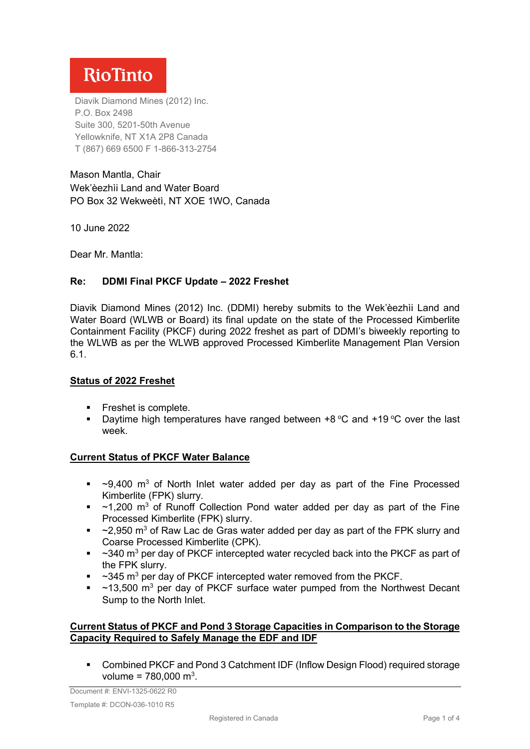# **RioTinto**

Diavik Diamond Mines (2012) Inc. P.O. Box 2498 Suite 300, 5201-50th Avenue Yellowknife, NT X1A 2P8 Canada T (867) 669 6500 F 1-866-313-2754

Mason Mantla, Chair Wek'èezhìi Land and Water Board PO Box 32 Wekweètì, NT XOE 1WO, Canada

10 June 2022

Dear Mr. Mantla:

### **Re: DDMI Final PKCF Update – 2022 Freshet**

Diavik Diamond Mines (2012) Inc. (DDMI) hereby submits to the Wek'èezhìi Land and Water Board (WLWB or Board) its final update on the state of the Processed Kimberlite Containment Facility (PKCF) during 2022 freshet as part of DDMI's biweekly reporting to the WLWB as per the WLWB approved Processed Kimberlite Management Plan Version 6.1.

#### **Status of 2022 Freshet**

- **Freshet is complete.**
- **Daytime high temperatures have ranged between +8 °C and +19 °C over the last** week.

#### **Current Status of PKCF Water Balance**

- $\sim$ 9,400 m<sup>3</sup> of North Inlet water added per day as part of the Fine Processed Kimberlite (FPK) slurry.
- $-$  ~1,200 m<sup>3</sup> of Runoff Collection Pond water added per day as part of the Fine Processed Kimberlite (FPK) slurry.
- $\sim$  2,950 m<sup>3</sup> of Raw Lac de Gras water added per day as part of the FPK slurry and Coarse Processed Kimberlite (CPK).
- $\sim$  340 m<sup>3</sup> per day of PKCF intercepted water recycled back into the PKCF as part of the FPK slurry.
- $\sim$  345 m<sup>3</sup> per day of PKCF intercepted water removed from the PKCF.
- $\sim$  ~13,500 m<sup>3</sup> per day of PKCF surface water pumped from the Northwest Decant Sump to the North Inlet.

#### **Current Status of PKCF and Pond 3 Storage Capacities in Comparison to the Storage Capacity Required to Safely Manage the EDF and IDF**

 Combined PKCF and Pond 3 Catchment IDF (Inflow Design Flood) required storage volume =  $780,000 \text{ m}^3$ .

Document #: ENVI-1325-0622 R0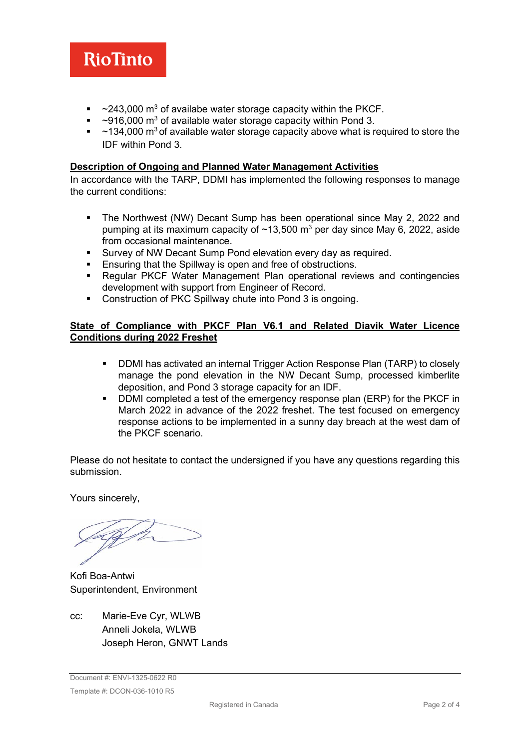

- $\sim$  243,000 m<sup>3</sup> of availabe water storage capacity within the PKCF.
- $\sim$ 916,000 m<sup>3</sup> of available water storage capacity within Pond 3.
- $\sim$  ~134,000 m<sup>3</sup> of available water storage capacity above what is required to store the IDF within Pond 3.

#### **Description of Ongoing and Planned Water Management Activities**

In accordance with the TARP, DDMI has implemented the following responses to manage the current conditions:

- The Northwest (NW) Decant Sump has been operational since May 2, 2022 and pumping at its maximum capacity of  $\sim$ 13,500 m<sup>3</sup> per day since May 6, 2022, aside from occasional maintenance.
- Survey of NW Decant Sump Pond elevation every day as required.
- Ensuring that the Spillway is open and free of obstructions.
- Regular PKCF Water Management Plan operational reviews and contingencies development with support from Engineer of Record.
- Construction of PKC Spillway chute into Pond 3 is ongoing.

#### **State of Compliance with PKCF Plan V6.1 and Related Diavik Water Licence Conditions during 2022 Freshet**

- **DDMI** has activated an internal Trigger Action Response Plan (TARP) to closely manage the pond elevation in the NW Decant Sump, processed kimberlite deposition, and Pond 3 storage capacity for an IDF.
- DDMI completed a test of the emergency response plan (ERP) for the PKCF in March 2022 in advance of the 2022 freshet. The test focused on emergency response actions to be implemented in a sunny day breach at the west dam of the PKCF scenario.

Please do not hesitate to contact the undersigned if you have any questions regarding this submission.

Yours sincerely,

Kofi Boa-Antwi Superintendent, Environment

cc: Marie-Eve Cyr, WLWB Anneli Jokela, WLWB Joseph Heron, GNWT Lands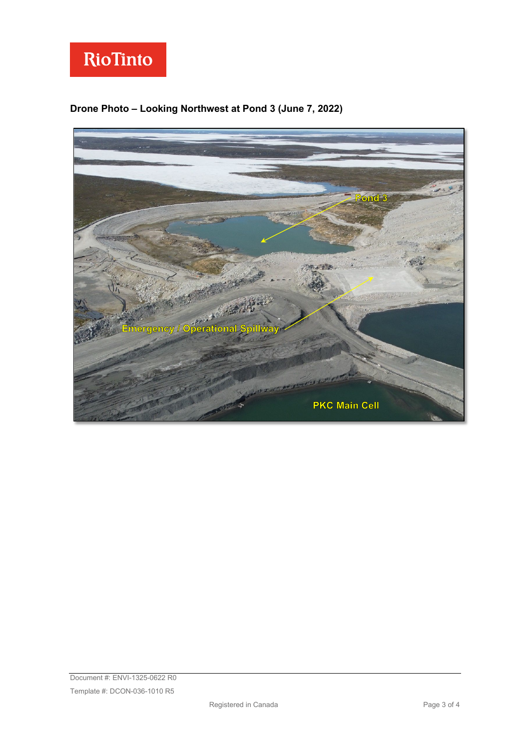

## **Drone Photo – Looking Northwest at Pond 3 (June 7, 2022)**